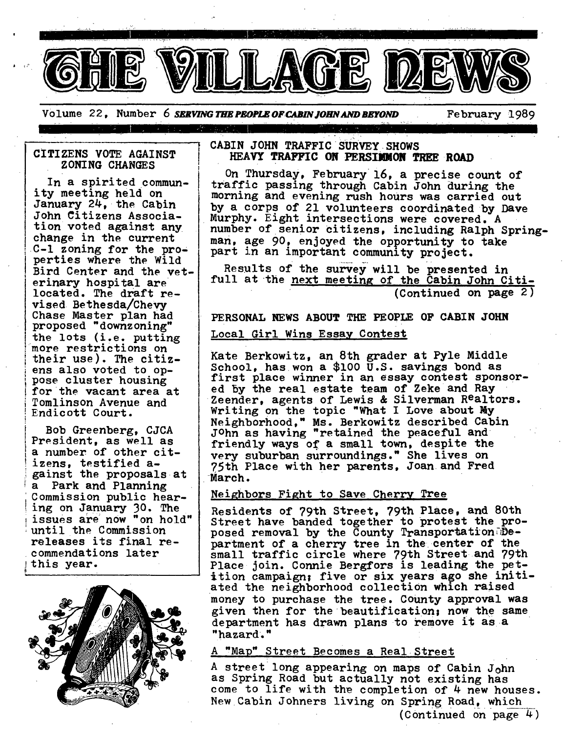

Volume 22, Number 6 SERVING THE PEOPLE OF CABIN JOHN AND BEYOND **February** 1989

## **CITIZENS VOTE AGAINST ZONING CHANGES**

In a spirited community meeting held on January 24, the Cabin John Citizens Association voted against any change in the current C-I zoning for the properties where the Wild Bird Center and the veterinary hospital are located. The draft revised Bethesda/Chevy Chase Master plan had proposed "downzoning" the lots (i.e. putting 'more restrictions on their use). The citizens also voted to oppose cluster housing for the vacant area at Tomlinson Avenue and Endicott Court.

f Bob Greenberg, CJCA President, as well as a number of other citizens, testified against the proposals at a Park and Planning Commission public hearing on January 30. The issues are now "on hold" until the Commission releases its final recommendations later this year.



### **CABIN JOHN TRAFFIC SURVEY SHOWS HEAVY TRAFFIC ON PERSIMMON TREE ,ROAD**

On Thursday, February 16, a precise count of traffic passing through Cabin John during the morning and evenlng rush hours was carried out by a corps of 21 volunteers coordinated by Dave Murphy. Eight intersections were covered. A number of senior citizens, including Ralph Springman, age 90, enjoyed the opportunity to take part in an important community project.

Results of the survey will be presented in full at the next meeting of the Cabin John Citi-(Continued on page 2)

**PERSONAL NEWS ABOUT THE PEOPLE OF CABIN JOHN** 

# Local Girl Wins Essay Contest

Kate Berkowitz, an 8th grader at Pyle Middle School, has won a \$100 U.S. savings bond as first place winner in an essay contest sponsored by the real estate team of Zeke and Ray Zeender, agents of Lewis & Silverman Realtors. Writing on the topic "What I Love about My Neighborhood," Ms. Berkowitz described Cabin JOhn as having "retained the peaceful and friendly ways of a small town, despite the very suburban surroundings." She lives on ~5th Place with her parents, Joan and Fred March.

### Neighbors Fight to Save Cherry Tree

Residents of 79th Street, 79th Place, and 80th Street have banded together to protest the proposed removal by the County Transportation  $\mathbb{D}$ epartment of a cherry tree in the center of the small traffic circle where 79th Street and 79th Place join. Connie Bergfors is leading the petition campaign; five or six years ago she initiated the neighborhood collection which raised money to purchase the tree. County approval was given then for the beautification; now the same department has drawn plans to remove it as a "hazard."

# A "Map" Street Becomes a Real Street

A street long appearing on maps of Cabin John as Spring Road but actually not existing has come to life with the completion of 4 new houses. New Cabin Johners living on Spring Road, which (Continued on page 4)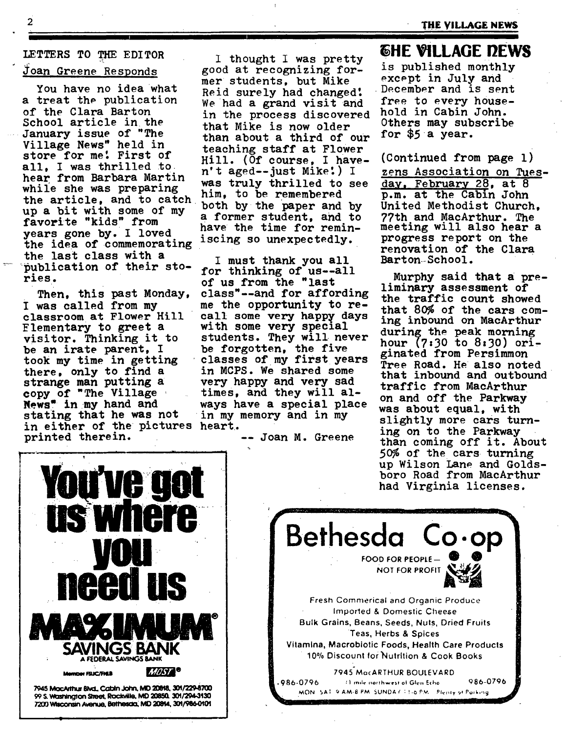# LETTERS TO THE EDITOR Joan Greene Responds

You have no idea what a treat the publication of the Clara Barton  $S$ chool  $\arctan t$ he January issue of "The Village News" held in store for me! First of all. I was thrilled to hear from Barbara Martin while she was preparing him, to be remembered<br>the article, and to catch both by the paper and the article, and to catch both by the paper and by<br>up a bit with some of my up a bit with some of my a former student, and to<br>favorite "kids" from the time for music years gone by. I loved the idea of commemorating iscing so unexpectedly. the last class with a  $I$  must thank you all<br>"publication of their sto- son thinking of way all publication of their  $s_{\text{tot}}$  for thinking of us--all ries.

Then, this past Monday, I was called from my classroom at Flower Hill Flementary to greet a visitor. Thinking it to be an irate parent, I took my time in getting there, only to find a strange man putting a copy of "The Village News" in my hand and stating that he was not in either of the pictures heart. In either of the pictures heart.<br>printed therein. The series are then conjugate in the series of the series of the series of the series of the

I thought I was pretty good at recognizing former students, but Mike Reid surely had changed! We had a grand visit and free to every house-<br>in the process discovered hold in Cabin John. in the process discovered hold in Cabin John.<br>that Mike is now older 0thers may subscribe that Mike is now older  $\frac{0 \text{ times may su}}{0 \text{ times}}$  and  $\frac{0}{0 \text{ times}}$  of our for \$5 a year. than about a third of our teaching staff at Flower Hill. (Of course, I have- (Continued from page i) was truly thrilled to see have the time for remin-

of us from the "last class"--and for affording me the opportunity to recall some very happy days with some very special students. They will never be forgotten, the five classes of my first years in MCPS. We shared some very happy and very sad times, and they will always have a special place in my memory and in my

# **EHE VILLAGE DEWS**

is published monthly except in July and December and is sent

n't aged--just Mike!) I zens Association on Tuesday, February 28, at 8 p.m. at the Cabin John United Methodist Church, 77th and MacArthur. The meeting will also hear a progress report on the renovation of the Clara Barton School.

> Murphy said that a preliminary assessment of the traffic count showed that 80% of the cars coming inbound on MacArthur during the peak morning hour (7:30 to 8:30) originated from Persimmon Tree Road. He also noted that inbound and outbound traffic from MacArthur on and off the Parkway was about equal, with slightly more cars turnthan coming off it. About 50% of the cars turning up Wilson Lane and Goldsboro Road from MacArthur had Virginia licenses.



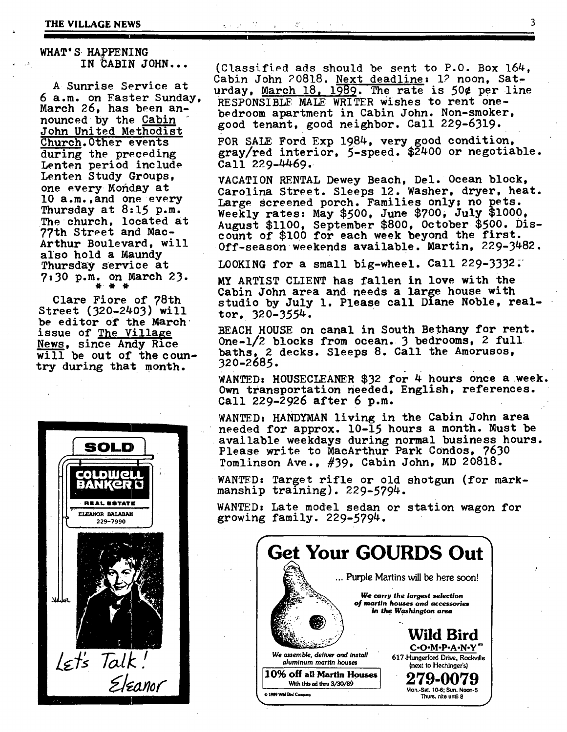### **THE VILLAGE NEWS**  $\qquad \qquad 3$

## **WHAT'S HAPPENING**  IN CABIN JOHN...

A Sunrise Service at 6 a.m. on Faster Sunday, March 26, has been announced by the Cabin John United Methodist Church.0ther events during the preceding Lenten period include Lenten Study Groups, one every Monday at l0 a.m.,and one every Thursday at 8:15 p.m. The church, located at 77th Street and Mac-Arthur Boulevard, will also hold a Maundy Thursday Service at 7:30 p.m. on March 23. @ @ @

Clare Fiore of 78th Street (320-2403) will be editor of the March issue of The Village News, since Andy Rice will be out of the country during that month.



(Classified ads should be sent to P.O. Box  $164$ . Cabin John 20818. Next deadline: 12 noon, Saturday, March  $18$ ,  $1989$ . The rate is 50¢ per line RESPONSIBLE MALE WRITER Wishes to rent onebedroom apartment in Cabin John. Non-smoker, good tenant, good neighbor. Call 229-6319.

FOR SALE Ford Exp 1984, very good condition, gray/red interior, 5-speed. \$2400 or negotiable. Call 229-4469.

VACATION RENTAL Dewey Beach, Del. Ocean block, Carolina Street. Sleeps 12. Washer, dryer, heat. Large screened porch. Families only; no pets. Weekly rates. May \$500, June \$700, July \$1000, August \$1100, September \$800, 0ctober \$500. Discount of \$100 for each week beyond the first. 0ff-seasonweekends available. Martin, 229-3482.

LOOKING for a small big-wheel. Call 229-3332;

MY ARTIST CLIENT has fallen in love with the Cabin John area and needs a large house with studio by July 1. Please call Diane Noble, realtor, 320-3554.

BEACH HOUSE on canal in South Bethany for rent. 0ne-1/2 blocks from ocean. 3 bedrooms, 2 full. baths, 2 decks. Sleeps 8. Call the Amorusos, 320-2685.

WANTED: HOUSECLEANER  $$32$  for 4 hours once a week. Own transportation needed, English, references. Call 229-2926 after 6 p.m.

WANTED: HANDYMAN living in the Cabin John area needed for approx. I0-15 hours a month. Must be available weekdays during normal business hours. Please write to MacArthur Park Condos, 7630 Tomlinson Ave., #39, Cabin John, MD 20818.

WANED: Target rifle or old shotgun (for markmanship training). 229-5794.

WANTED: Late model sedan or station wagon for growing family. 229-5794.